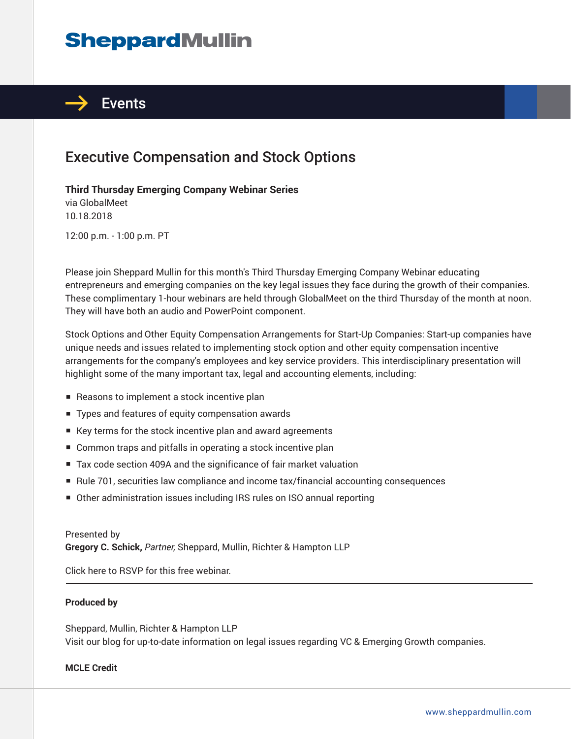# **SheppardMullin**



## Executive Compensation and Stock Options

#### **Third Thursday Emerging Company Webinar Series**

via GlobalMeet 10.18.2018

12:00 p.m. - 1:00 p.m. PT

Please join Sheppard Mullin for this month's Third Thursday Emerging Company Webinar educating entrepreneurs and emerging companies on the key legal issues they face during the growth of their companies. These complimentary 1-hour webinars are held through GlobalMeet on the third Thursday of the month at noon. They will have both an audio and PowerPoint component.

Stock Options and Other Equity Compensation Arrangements for Start-Up Companies: Start-up companies have unique needs and issues related to implementing stock option and other equity compensation incentive arrangements for the company's employees and key service providers. This interdisciplinary presentation will highlight some of the many important tax, legal and accounting elements, including:

- Reasons to implement a stock incentive plan
- Types and features of equity compensation awards
- Key terms for the stock incentive plan and award agreements
- Common traps and pitfalls in operating a stock incentive plan
- Tax code section 409A and the significance of fair market valuation
- Rule 701, securities law compliance and income tax/financial accounting consequences
- Other administration issues including IRS rules on ISO annual reporting

#### Presented by

**Gregory C. Schick,** *Partner,* Sheppard, Mullin, Richter & Hampton LLP

Click here to RSVP for this free webinar. ֦

#### **Produced by**

Sheppard, Mullin, Richter & Hampton LLP Visit our blog for up-to-date information on legal issues regarding VC & Emerging Growth companies.

#### **MCLE Credit**